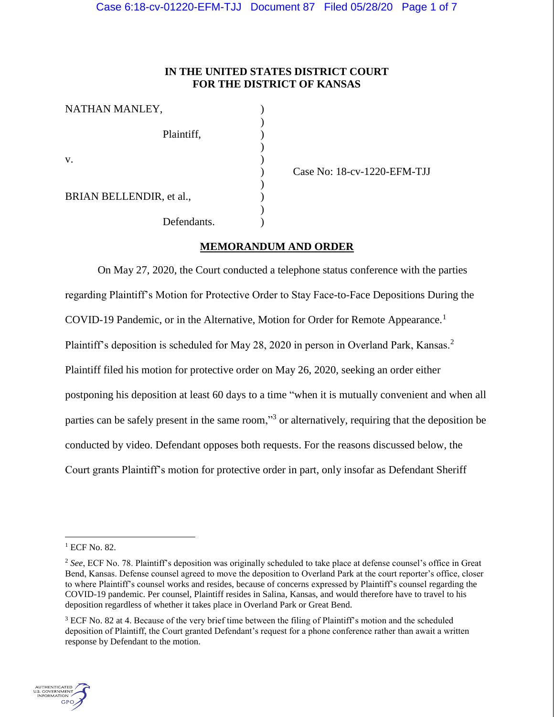# **IN THE UNITED STATES DISTRICT COURT FOR THE DISTRICT OF KANSAS**

| NATHAN MANLEY,           |             |  |
|--------------------------|-------------|--|
|                          |             |  |
|                          | Plaintiff,  |  |
|                          |             |  |
| V.                       |             |  |
|                          |             |  |
|                          |             |  |
| BRIAN BELLENDIR, et al., |             |  |
|                          |             |  |
|                          | Defendants. |  |

) Case No: 18-cv-1220-EFM-TJJ

# **MEMORANDUM AND ORDER**

On May 27, 2020, the Court conducted a telephone status conference with the parties regarding Plaintiff's Motion for Protective Order to Stay Face-to-Face Depositions During the COVID-19 Pandemic, or in the Alternative, Motion for Order for Remote Appearance.<sup>1</sup> Plaintiff's deposition is scheduled for May 28, 2020 in person in Overland Park, Kansas.<sup>2</sup> Plaintiff filed his motion for protective order on May 26, 2020, seeking an order either postponing his deposition at least 60 days to a time "when it is mutually convenient and when all parties can be safely present in the same room,"<sup>3</sup> or alternatively, requiring that the deposition be conducted by video. Defendant opposes both requests. For the reasons discussed below, the Court grants Plaintiff's motion for protective order in part, only insofar as Defendant Sheriff

<sup>3</sup> ECF No. 82 at 4. Because of the very brief time between the filing of Plaintiff's motion and the scheduled deposition of Plaintiff, the Court granted Defendant's request for a phone conference rather than await a written response by Defendant to the motion.



<sup>&</sup>lt;sup>1</sup> ECF No. 82.

<sup>&</sup>lt;sup>2</sup> See, ECF No. 78. Plaintiff's deposition was originally scheduled to take place at defense counsel's office in Great Bend, Kansas. Defense counsel agreed to move the deposition to Overland Park at the court reporter's office, closer to where Plaintiff's counsel works and resides, because of concerns expressed by Plaintiff's counsel regarding the COVID-19 pandemic. Per counsel, Plaintiff resides in Salina, Kansas, and would therefore have to travel to his deposition regardless of whether it takes place in Overland Park or Great Bend.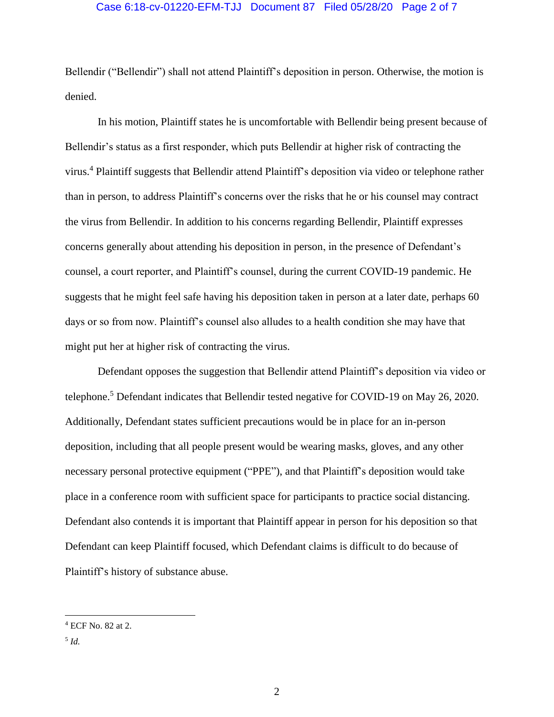## Case 6:18-cv-01220-EFM-TJJ Document 87 Filed 05/28/20 Page 2 of 7

Bellendir ("Bellendir") shall not attend Plaintiff's deposition in person. Otherwise, the motion is denied.

In his motion, Plaintiff states he is uncomfortable with Bellendir being present because of Bellendir's status as a first responder, which puts Bellendir at higher risk of contracting the virus.<sup>4</sup> Plaintiff suggests that Bellendir attend Plaintiff's deposition via video or telephone rather than in person, to address Plaintiff's concerns over the risks that he or his counsel may contract the virus from Bellendir. In addition to his concerns regarding Bellendir, Plaintiff expresses concerns generally about attending his deposition in person, in the presence of Defendant's counsel, a court reporter, and Plaintiff's counsel, during the current COVID-19 pandemic. He suggests that he might feel safe having his deposition taken in person at a later date, perhaps 60 days or so from now. Plaintiff's counsel also alludes to a health condition she may have that might put her at higher risk of contracting the virus.

Defendant opposes the suggestion that Bellendir attend Plaintiff's deposition via video or telephone. <sup>5</sup> Defendant indicates that Bellendir tested negative for COVID-19 on May 26, 2020. Additionally, Defendant states sufficient precautions would be in place for an in-person deposition, including that all people present would be wearing masks, gloves, and any other necessary personal protective equipment ("PPE"), and that Plaintiff's deposition would take place in a conference room with sufficient space for participants to practice social distancing. Defendant also contends it is important that Plaintiff appear in person for his deposition so that Defendant can keep Plaintiff focused, which Defendant claims is difficult to do because of Plaintiff's history of substance abuse.

<sup>4</sup> ECF No. 82 at 2.

<sup>5</sup> *Id.*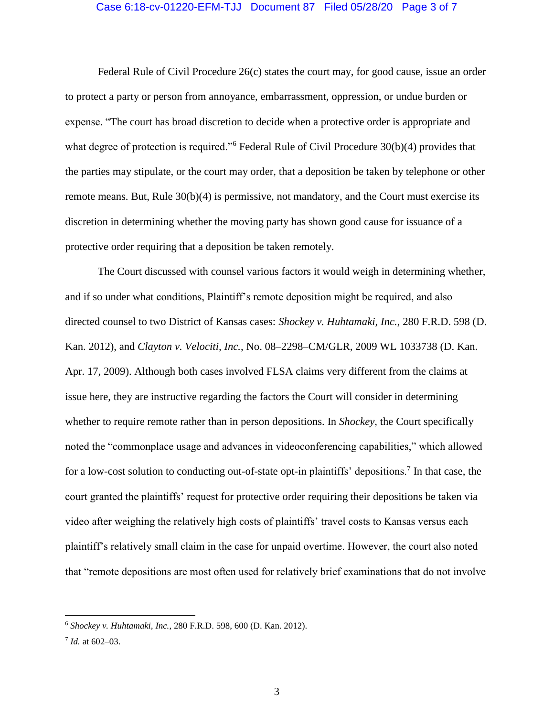#### Case 6:18-cv-01220-EFM-TJJ Document 87 Filed 05/28/20 Page 3 of 7

Federal Rule of Civil Procedure 26(c) states the court may, for good cause, issue an order to protect a party or person from annoyance, embarrassment, oppression, or undue burden or expense. "The court has broad discretion to decide when a protective order is appropriate and what degree of protection is required."<sup>6</sup> Federal Rule of Civil Procedure 30(b)(4) provides that the parties may stipulate, or the court may order, that a deposition be taken by telephone or other remote means. But, Rule 30(b)(4) is permissive, not mandatory, and the Court must exercise its discretion in determining whether the moving party has shown good cause for issuance of a protective order requiring that a deposition be taken remotely.

The Court discussed with counsel various factors it would weigh in determining whether, and if so under what conditions, Plaintiff's remote deposition might be required, and also directed counsel to two District of Kansas cases: *Shockey v. Huhtamaki, Inc.*, 280 F.R.D. 598 (D. Kan. 2012), and *Clayton v. Velociti, Inc.*, No. 08–2298–CM/GLR, 2009 WL 1033738 (D. Kan. Apr. 17, 2009). Although both cases involved FLSA claims very different from the claims at issue here, they are instructive regarding the factors the Court will consider in determining whether to require remote rather than in person depositions. In *Shockey*, the Court specifically noted the "commonplace usage and advances in videoconferencing capabilities," which allowed for a low-cost solution to conducting out-of-state opt-in plaintiffs' depositions.<sup>7</sup> In that case, the court granted the plaintiffs' request for protective order requiring their depositions be taken via video after weighing the relatively high costs of plaintiffs' travel costs to Kansas versus each plaintiff's relatively small claim in the case for unpaid overtime. However, the court also noted that "remote depositions are most often used for relatively brief examinations that do not involve

<sup>6</sup> *Shockey v. Huhtamaki, Inc.*, 280 F.R.D. 598, 600 (D. Kan. 2012).

<sup>7</sup> *Id.* at 602–03.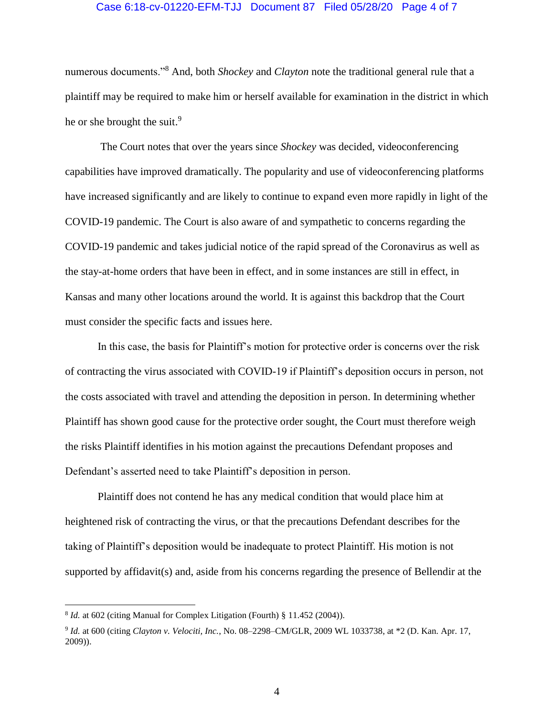#### Case 6:18-cv-01220-EFM-TJJ Document 87 Filed 05/28/20 Page 4 of 7

numerous documents."<sup>8</sup> And, both *Shockey* and *Clayton* note the traditional general rule that a plaintiff may be required to make him or herself available for examination in the district in which he or she brought the suit.<sup>9</sup>

The Court notes that over the years since *Shockey* was decided, videoconferencing capabilities have improved dramatically. The popularity and use of videoconferencing platforms have increased significantly and are likely to continue to expand even more rapidly in light of the COVID-19 pandemic. The Court is also aware of and sympathetic to concerns regarding the COVID-19 pandemic and takes judicial notice of the rapid spread of the Coronavirus as well as the stay-at-home orders that have been in effect, and in some instances are still in effect, in Kansas and many other locations around the world. It is against this backdrop that the Court must consider the specific facts and issues here.

In this case, the basis for Plaintiff's motion for protective order is concerns over the risk of contracting the virus associated with COVID-19 if Plaintiff's deposition occurs in person, not the costs associated with travel and attending the deposition in person. In determining whether Plaintiff has shown good cause for the protective order sought, the Court must therefore weigh the risks Plaintiff identifies in his motion against the precautions Defendant proposes and Defendant's asserted need to take Plaintiff's deposition in person.

Plaintiff does not contend he has any medical condition that would place him at heightened risk of contracting the virus, or that the precautions Defendant describes for the taking of Plaintiff's deposition would be inadequate to protect Plaintiff. His motion is not supported by affidavit(s) and, aside from his concerns regarding the presence of Bellendir at the

<sup>&</sup>lt;sup>8</sup> *Id.* at 602 (citing Manual for Complex Litigation (Fourth) § 11.452 (2004)).

<sup>9</sup> *Id.* at 600 (citing *Clayton v. Velociti, Inc.*, No. 08–2298–CM/GLR, 2009 WL 1033738, at \*2 (D. Kan. Apr. 17, 2009)).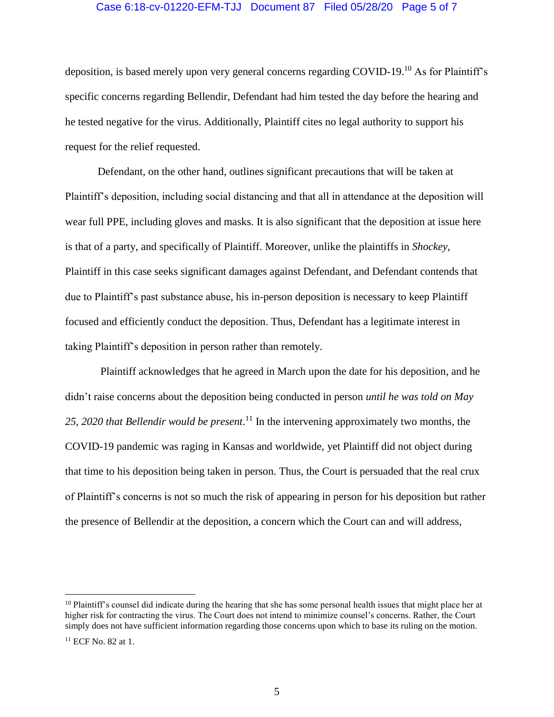## Case 6:18-cv-01220-EFM-TJJ Document 87 Filed 05/28/20 Page 5 of 7

deposition, is based merely upon very general concerns regarding COVID-19.<sup>10</sup> As for Plaintiff's specific concerns regarding Bellendir, Defendant had him tested the day before the hearing and he tested negative for the virus. Additionally, Plaintiff cites no legal authority to support his request for the relief requested.

Defendant, on the other hand, outlines significant precautions that will be taken at Plaintiff's deposition, including social distancing and that all in attendance at the deposition will wear full PPE, including gloves and masks. It is also significant that the deposition at issue here is that of a party, and specifically of Plaintiff. Moreover, unlike the plaintiffs in *Shockey*, Plaintiff in this case seeks significant damages against Defendant, and Defendant contends that due to Plaintiff's past substance abuse, his in-person deposition is necessary to keep Plaintiff focused and efficiently conduct the deposition. Thus, Defendant has a legitimate interest in taking Plaintiff's deposition in person rather than remotely.

Plaintiff acknowledges that he agreed in March upon the date for his deposition, and he didn't raise concerns about the deposition being conducted in person *until he was told on May 25, 2020 that Bellendir would be present*. <sup>11</sup> In the intervening approximately two months, the COVID-19 pandemic was raging in Kansas and worldwide, yet Plaintiff did not object during that time to his deposition being taken in person. Thus, the Court is persuaded that the real crux of Plaintiff's concerns is not so much the risk of appearing in person for his deposition but rather the presence of Bellendir at the deposition, a concern which the Court can and will address,

 $10$  Plaintiff's counsel did indicate during the hearing that she has some personal health issues that might place her at higher risk for contracting the virus. The Court does not intend to minimize counsel's concerns. Rather, the Court simply does not have sufficient information regarding those concerns upon which to base its ruling on the motion.

<sup>&</sup>lt;sup>11</sup> ECF No. 82 at 1.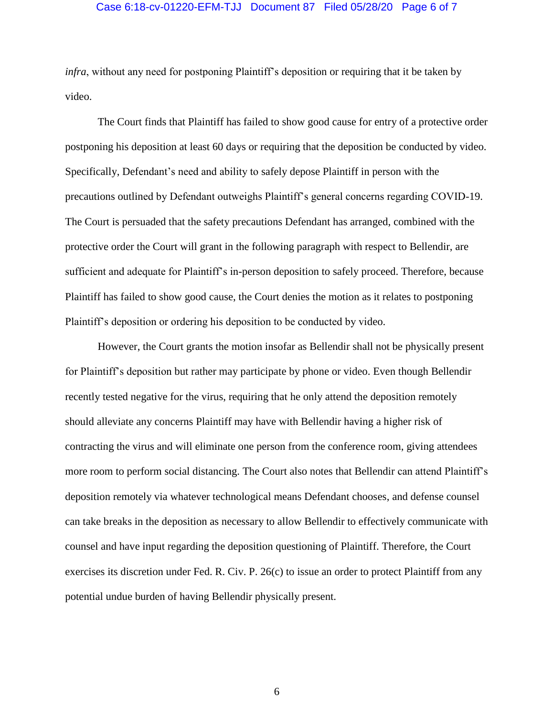## Case 6:18-cv-01220-EFM-TJJ Document 87 Filed 05/28/20 Page 6 of 7

*infra*, without any need for postponing Plaintiff's deposition or requiring that it be taken by video.

The Court finds that Plaintiff has failed to show good cause for entry of a protective order postponing his deposition at least 60 days or requiring that the deposition be conducted by video. Specifically, Defendant's need and ability to safely depose Plaintiff in person with the precautions outlined by Defendant outweighs Plaintiff's general concerns regarding COVID-19. The Court is persuaded that the safety precautions Defendant has arranged, combined with the protective order the Court will grant in the following paragraph with respect to Bellendir, are sufficient and adequate for Plaintiff's in-person deposition to safely proceed. Therefore, because Plaintiff has failed to show good cause, the Court denies the motion as it relates to postponing Plaintiff's deposition or ordering his deposition to be conducted by video.

However, the Court grants the motion insofar as Bellendir shall not be physically present for Plaintiff's deposition but rather may participate by phone or video. Even though Bellendir recently tested negative for the virus, requiring that he only attend the deposition remotely should alleviate any concerns Plaintiff may have with Bellendir having a higher risk of contracting the virus and will eliminate one person from the conference room, giving attendees more room to perform social distancing. The Court also notes that Bellendir can attend Plaintiff's deposition remotely via whatever technological means Defendant chooses, and defense counsel can take breaks in the deposition as necessary to allow Bellendir to effectively communicate with counsel and have input regarding the deposition questioning of Plaintiff. Therefore, the Court exercises its discretion under Fed. R. Civ. P. 26(c) to issue an order to protect Plaintiff from any potential undue burden of having Bellendir physically present.

6